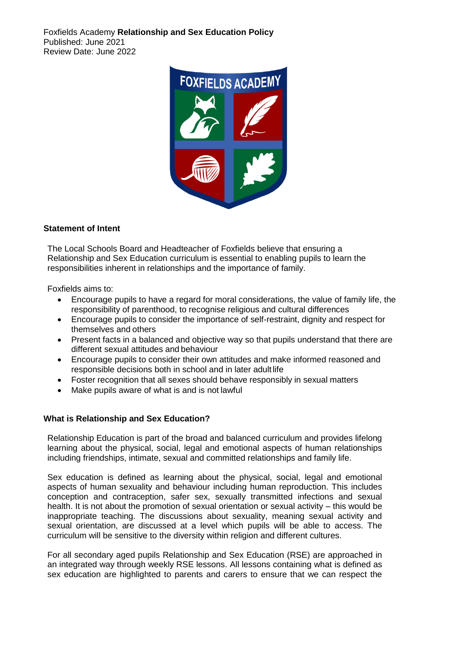Foxfields Academy **Relationship and Sex Education Policy** Published: June 2021 Review Date: June 2022



### **Statement of Intent**

The Local Schools Board and Headteacher of Foxfields believe that ensuring a Relationship and Sex Education curriculum is essential to enabling pupils to learn the responsibilities inherent in relationships and the importance of family.

Foxfields aims to:

- Encourage pupils to have a regard for moral considerations, the value of family life, the responsibility of parenthood, to recognise religious and cultural differences
- Encourage pupils to consider the importance of self-restraint, dignity and respect for themselves and others
- Present facts in a balanced and objective way so that pupils understand that there are different sexual attitudes and behaviour
- Encourage pupils to consider their own attitudes and make informed reasoned and responsible decisions both in school and in later adult life
- Foster recognition that all sexes should behave responsibly in sexual matters
- Make pupils aware of what is and is not lawful

### **What is Relationship and Sex Education?**

Relationship Education is part of the broad and balanced curriculum and provides lifelong learning about the physical, social, legal and emotional aspects of human relationships including friendships, intimate, sexual and committed relationships and family life.

Sex education is defined as learning about the physical, social, legal and emotional aspects of human sexuality and behaviour including human reproduction. This includes conception and contraception, safer sex, sexually transmitted infections and sexual health. It is not about the promotion of sexual orientation or sexual activity – this would be inappropriate teaching. The discussions about sexuality, meaning sexual activity and sexual orientation, are discussed at a level which pupils will be able to access. The curriculum will be sensitive to the diversity within religion and different cultures.

For all secondary aged pupils Relationship and Sex Education (RSE) are approached in an integrated way through weekly RSE lessons. All lessons containing what is defined as sex education are highlighted to parents and carers to ensure that we can respect the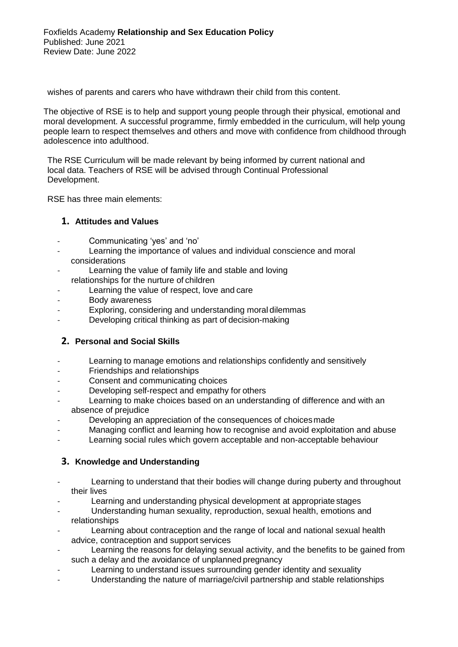wishes of parents and carers who have withdrawn their child from this content.

The objective of RSE is to help and support young people through their physical, emotional and moral development. A successful programme, firmly embedded in the curriculum, will help young people learn to respect themselves and others and move with confidence from childhood through adolescence into adulthood.

The RSE Curriculum will be made relevant by being informed by current national and local data. Teachers of RSE will be advised through Continual Professional Development.

RSE has three main elements:

## **1. Attitudes and Values**

- Communicating 'yes' and 'no'
- Learning the importance of values and individual conscience and moral considerations
- Learning the value of family life and stable and loving relationships for the nurture of children
- Learning the value of respect, love and care
- Body awareness
- Exploring, considering and understanding moral dilemmas
- Developing critical thinking as part of decision-making

# **2. Personal and Social Skills**

- Learning to manage emotions and relationships confidently and sensitively
- Friendships and relationships
- Consent and communicating choices
- Developing self-respect and empathy for others
- Learning to make choices based on an understanding of difference and with an absence of prejudice
- Developing an appreciation of the consequences of choices made
- Managing conflict and learning how to recognise and avoid exploitation and abuse
- Learning social rules which govern acceptable and non-acceptable behaviour

# **3. Knowledge and Understanding**

- Learning to understand that their bodies will change during puberty and throughout their lives
- Learning and understanding physical development at appropriate stages
- Understanding human sexuality, reproduction, sexual health, emotions and relationships
- Learning about contraception and the range of local and national sexual health advice, contraception and support services
- Learning the reasons for delaying sexual activity, and the benefits to be gained from such a delay and the avoidance of unplanned pregnancy
- Learning to understand issues surrounding gender identity and sexuality
- Understanding the nature of marriage/civil partnership and stable relationships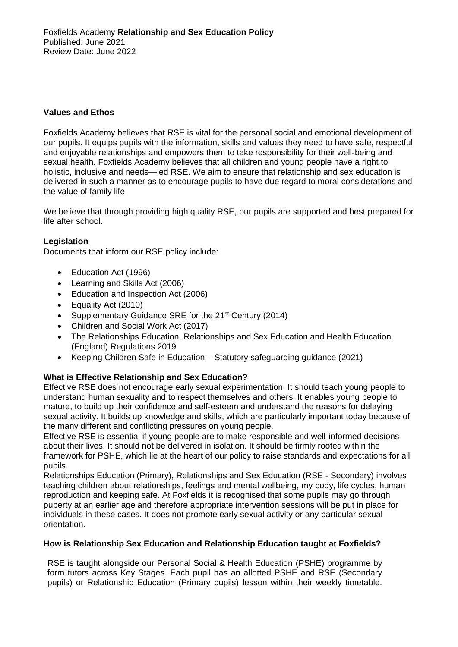## **Values and Ethos**

Foxfields Academy believes that RSE is vital for the personal social and emotional development of our pupils. It equips pupils with the information, skills and values they need to have safe, respectful and enjoyable relationships and empowers them to take responsibility for their well-being and sexual health. Foxfields Academy believes that all children and young people have a right to holistic, inclusive and needs—led RSE. We aim to ensure that relationship and sex education is delivered in such a manner as to encourage pupils to have due regard to moral considerations and the value of family life.

We believe that through providing high quality RSE, our pupils are supported and best prepared for life after school.

## **Legislation**

Documents that inform our RSE policy include:

- Education Act (1996)
- Learning and Skills Act (2006)
- Education and Inspection Act (2006)
- Equality Act (2010)
- Supplementary Guidance SRE for the 21<sup>st</sup> Century (2014)
- Children and Social Work Act (2017)
- The Relationships Education, Relationships and Sex Education and Health Education (England) Regulations 2019
- Keeping Children Safe in Education Statutory safeguarding guidance (2021)

### **What is Effective Relationship and Sex Education?**

Effective RSE does not encourage early sexual experimentation. It should teach young people to understand human sexuality and to respect themselves and others. It enables young people to mature, to build up their confidence and self-esteem and understand the reasons for delaying sexual activity. It builds up knowledge and skills, which are particularly important today because of the many different and conflicting pressures on young people.

Effective RSE is essential if young people are to make responsible and well-informed decisions about their lives. It should not be delivered in isolation. It should be firmly rooted within the framework for PSHE, which lie at the heart of our policy to raise standards and expectations for all pupils.

Relationships Education (Primary), Relationships and Sex Education (RSE - Secondary) involves teaching children about relationships, feelings and mental wellbeing, my body, life cycles, human reproduction and keeping safe. At Foxfields it is recognised that some pupils may go through puberty at an earlier age and therefore appropriate intervention sessions will be put in place for individuals in these cases. It does not promote early sexual activity or any particular sexual orientation.

### **How is Relationship Sex Education and Relationship Education taught at Foxfields?**

RSE is taught alongside our Personal Social & Health Education (PSHE) programme by form tutors across Key Stages. Each pupil has an allotted PSHE and RSE (Secondary pupils) or Relationship Education (Primary pupils) lesson within their weekly timetable.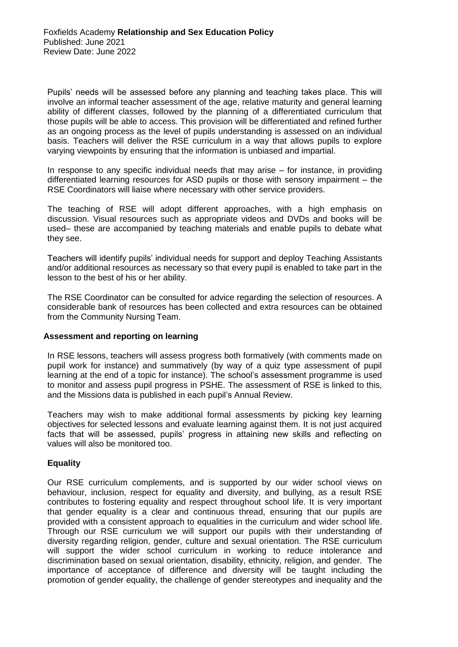Pupils' needs will be assessed before any planning and teaching takes place. This will involve an informal teacher assessment of the age, relative maturity and general learning ability of different classes, followed by the planning of a differentiated curriculum that those pupils will be able to access. This provision will be differentiated and refined further as an ongoing process as the level of pupils understanding is assessed on an individual basis. Teachers will deliver the RSE curriculum in a way that allows pupils to explore varying viewpoints by ensuring that the information is unbiased and impartial.

In response to any specific individual needs that may arise – for instance, in providing differentiated learning resources for ASD pupils or those with sensory impairment – the RSE Coordinators will liaise where necessary with other service providers.

The teaching of RSE will adopt different approaches, with a high emphasis on discussion. Visual resources such as appropriate videos and DVDs and books will be used– these are accompanied by teaching materials and enable pupils to debate what they see.

Teachers will identify pupils' individual needs for support and deploy Teaching Assistants and/or additional resources as necessary so that every pupil is enabled to take part in the lesson to the best of his or her ability.

The RSE Coordinator can be consulted for advice regarding the selection of resources. A considerable bank of resources has been collected and extra resources can be obtained from the Community Nursing Team.

### **Assessment and reporting on learning**

In RSE lessons, teachers will assess progress both formatively (with comments made on pupil work for instance) and summatively (by way of a quiz type assessment of pupil learning at the end of a topic for instance). The school's assessment programme is used to monitor and assess pupil progress in PSHE. The assessment of RSE is linked to this, and the Missions data is published in each pupil's Annual Review.

Teachers may wish to make additional formal assessments by picking key learning objectives for selected lessons and evaluate learning against them. It is not just acquired facts that will be assessed, pupils' progress in attaining new skills and reflecting on values will also be monitored too.

### **Equality**

Our RSE curriculum complements, and is supported by our wider school views on behaviour, inclusion, respect for equality and diversity, and bullying, as a result RSE contributes to fostering equality and respect throughout school life. It is very important that gender equality is a clear and continuous thread, ensuring that our pupils are provided with a consistent approach to equalities in the curriculum and wider school life. Through our RSE curriculum we will support our pupils with their understanding of diversity regarding religion, gender, culture and sexual orientation. The RSE curriculum will support the wider school curriculum in working to reduce intolerance and discrimination based on sexual orientation, disability, ethnicity, religion, and gender. The importance of acceptance of difference and diversity will be taught including the promotion of gender equality, the challenge of gender stereotypes and inequality and the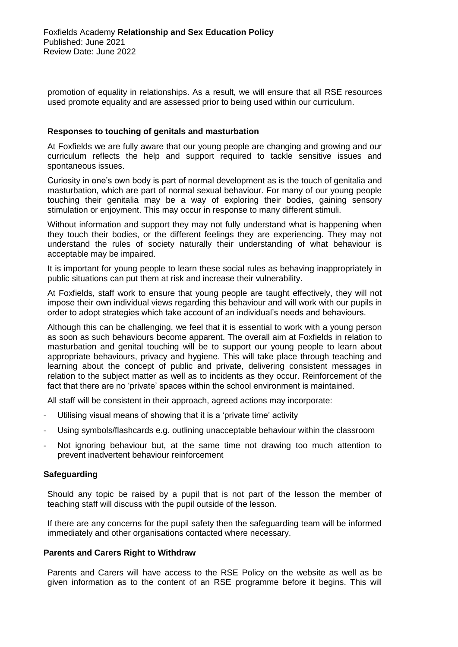promotion of equality in relationships. As a result, we will ensure that all RSE resources used promote equality and are assessed prior to being used within our curriculum.

#### **Responses to touching of genitals and masturbation**

At Foxfields we are fully aware that our young people are changing and growing and our curriculum reflects the help and support required to tackle sensitive issues and spontaneous issues.

Curiosity in one's own body is part of normal development as is the touch of genitalia and masturbation, which are part of normal sexual behaviour. For many of our young people touching their genitalia may be a way of exploring their bodies, gaining sensory stimulation or enjoyment. This may occur in response to many different stimuli.

Without information and support they may not fully understand what is happening when they touch their bodies, or the different feelings they are experiencing. They may not understand the rules of society naturally their understanding of what behaviour is acceptable may be impaired.

It is important for young people to learn these social rules as behaving inappropriately in public situations can put them at risk and increase their vulnerability.

At Foxfields, staff work to ensure that young people are taught effectively, they will not impose their own individual views regarding this behaviour and will work with our pupils in order to adopt strategies which take account of an individual's needs and behaviours.

Although this can be challenging, we feel that it is essential to work with a young person as soon as such behaviours become apparent. The overall aim at Foxfields in relation to masturbation and genital touching will be to support our young people to learn about appropriate behaviours, privacy and hygiene. This will take place through teaching and learning about the concept of public and private, delivering consistent messages in relation to the subject matter as well as to incidents as they occur. Reinforcement of the fact that there are no 'private' spaces within the school environment is maintained.

All staff will be consistent in their approach, agreed actions may incorporate:

- Utilising visual means of showing that it is a 'private time' activity
- Using symbols/flashcards e.g. outlining unacceptable behaviour within the classroom
- Not ignoring behaviour but, at the same time not drawing too much attention to prevent inadvertent behaviour reinforcement

### **Safeguarding**

Should any topic be raised by a pupil that is not part of the lesson the member of teaching staff will discuss with the pupil outside of the lesson.

If there are any concerns for the pupil safety then the safeguarding team will be informed immediately and other organisations contacted where necessary.

#### **Parents and Carers Right to Withdraw**

Parents and Carers will have access to the RSE Policy on the website as well as be given information as to the content of an RSE programme before it begins. This will